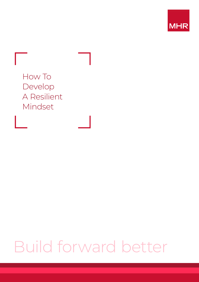



## Build forward better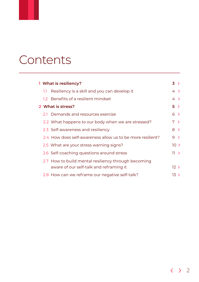## Contents

| 1 What is resiliency? |     |                                                            | $3 \rightarrow$ |                 |
|-----------------------|-----|------------------------------------------------------------|-----------------|-----------------|
|                       | 1.1 | Resiliency is a skill and you can develop it               |                 | $4 \rightarrow$ |
|                       |     | 1.2 Benefits of a resilient mindset                        |                 | $4 \rightarrow$ |
|                       |     | 2 What is stress?                                          |                 | 5 >             |
|                       |     | 2.1 Demands and resources exercise                         |                 | $6 \rightarrow$ |
|                       |     | 2.2 What happens to our body when we are stressed?         |                 | 7 >             |
|                       |     | 2.3 Self-awareness and resiliency                          |                 | $8 \rightarrow$ |
|                       |     | 2.4 How does self-awareness allow us to be more resilient? | $9 \rightarrow$ |                 |
|                       |     | 2.5 What are your stress warning signs?                    |                 | $10 \geq$       |
|                       |     | 2.6 Self-coaching questions around stress                  |                 | 11 >            |
|                       |     | 2.7 How to build mental resiliency through becoming        |                 |                 |
|                       |     | aware of our self-talk and reframing it                    |                 | 12 >            |
|                       |     | 2.8 How can we reframe our negative self-talk?             |                 | 13)             |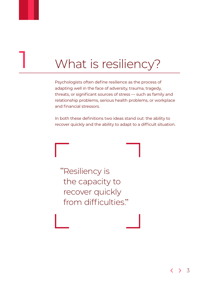## <span id="page-2-0"></span>What is resiliency?

Psychologists often define resilience as the process of adapting well in the face of adversity, trauma, tragedy, threats, or significant sources of stress — such as family and relationship problems, serious health problems, or workplace and financial stressors.

In both these definitions two ideas stand out: the ability to recover quickly and the ability to adapt to a difficult situation.

Resiliency is " the capacity to recover quickly from difficulties. "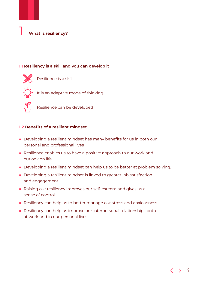<span id="page-3-0"></span>

#### **1.1 Resiliency is a skill and you can develop it**



Resilience is a skill



 $\, \cdot \,$  It is an adaptive mode of thinking



Resilience can be developed

#### **1.2 Benefits of a resilient mindset**

- Developing a resilient mindset has many benefits for us in both our personal and professional lives
- Resilience enables us to have a positive approach to our work and outlook on life
- Developing a resilient mindset can help us to be better at problem solving.
- Developing a resilient mindset is linked to greater job satisfaction and engagement
- Raising our resiliency improves our self-esteem and gives us a sense of control
- Resiliency can help us to better manage our stress and anxiousness.
- Resiliency can help us improve our interpersonal relationships both at work and in our personal lives

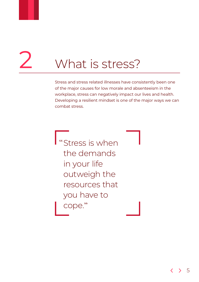<span id="page-4-0"></span>

# What is stress?

Stress and stress related illnesses have consistently been one of the major causes for low morale and absenteeism in the workplace, stress can negatively impact our lives and health. Developing a resilient mindset is one of the major ways we can combat stress.

Stress is when " the demands in your life outweigh the resources that you have to cope. "

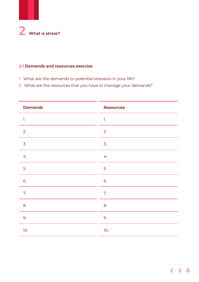<span id="page-5-0"></span>

#### **2.1 Demands and resources exercise**

- 1. What are the demands or potential stressors in your life?
- 2. What are the resources that you have to manage your demands?

| <b>Demands</b>   | <b>Resources</b> |
|------------------|------------------|
| $\mathbb{L}$     | 1.               |
| 2.               | 2.               |
| $\overline{3}$ . | $\overline{3}$ . |
| 4.               | 4.               |
| 5.               | 5.               |
| 6.               | 6.               |
| 7.               | 7.               |
| 8.               | 8.               |
| 9.               | 9.               |
| 10.              | 10.              |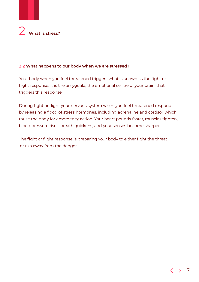<span id="page-6-0"></span>

#### **2.2 What happens to our body when we are stressed?**

Your body when you feel threatened triggers what is known as the fight or flight response. It is the amygdala, the emotional centre of your brain, that triggers this response.

During fight or flight your nervous system when you feel threatened responds by releasing a flood of stress hormones, including adrenaline and cortisol, which rouse the body for emergency action. Your heart pounds faster, muscles tighten, blood pressure rises, breath quickens, and your senses become sharper.

The fight or flight response is preparing your body to either fight the threat or run away from the danger.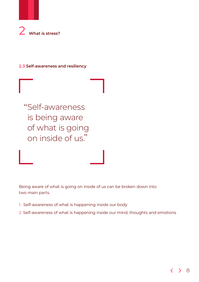<span id="page-7-0"></span>

**2.3 Self-awareness and resiliency**



Being aware of what is going on inside of us can be broken down into two main parts.

- 1. Self-awareness of what is happening inside our body
- 2. Self-awareness of what is happening inside our mind, thoughts and emotions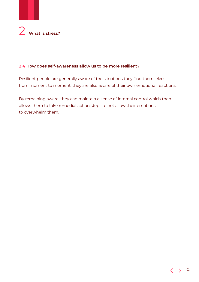<span id="page-8-0"></span>

#### **2.4 How does self-awareness allow us to be more resilient?**

Resilient people are generally aware of the situations they find themselves from moment to moment, they are also aware of their own emotional reactions.

By remaining aware, they can maintain a sense of internal control which then allows them to take remedial action steps to not allow their emotions to overwhelm them.

#### $\overline{\mathcal{C}}$  $\rightarrow$  9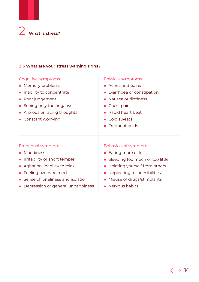<span id="page-9-0"></span>

#### **2.5 What are your stress warning signs?**

#### Cognitive symptoms

- Memory problems
- Inability to concentrate
- Poor judgement
- Seeing only the negative
- Anxious or racing thoughts
- Constant worrying

#### Physical symptoms

- Aches and pains
- Diarrhoea or constipation
- Nausea or dizziness
- Chest pain
- Rapid heart beat
- Cold sweats
- Frequent colds

#### Emotional symptoms

- Moodiness
- Irritability or short temper
- Agitation, inability to relax
- Feeling overwhelmed
- Sense of loneliness and isolation
- Depression or general unhappiness

#### Behavioural symptoms

- Eating more or less
- Sleeping too much or too little
- Isolating yourself from others
- Neglecting responsibilities
- Misuse of drugs/stimulants
- Nervous habits

#### $\langle \rangle$  10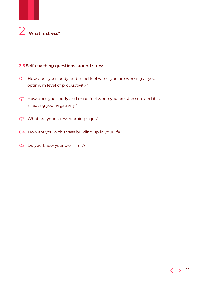<span id="page-10-0"></span>

#### **2.6 Self-coaching questions around stress**

- Q1. How does your body and mind feel when you are working at your optimum level of productivity?
- Q2. How does your body and mind feel when you are stressed, and it is affecting you negatively?
- Q3. What are your stress warning signs?
- Q4. How are you with stress building up in your life?
- Q5. Do you know your own limit?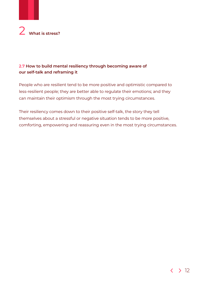<span id="page-11-0"></span>

#### **2.7 How to build mental resiliency through becoming aware of our self-talk and reframing it**

People who are resilient tend to be more positive and optimistic compared to less-resilient people; they are better able to regulate their emotions; and they can maintain their optimism through the most trying circumstances.

Their resiliency comes down to their positive self-talk, the story they tell themselves about a stressful or negative situation tends to be more positive, comforting, empowering and reassuring even in the most trying circumstances.

#### $\langle \rangle$  12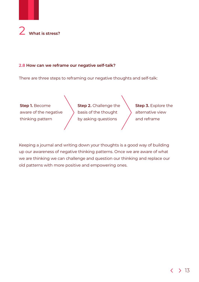<span id="page-12-0"></span>

#### **2.8 How can we reframe our negative self-talk?**

There are three steps to reframing our negative thoughts and self-talk:



Keeping a journal and writing down your thoughts is a good way of building up our awareness of negative thinking patterns. Once we are aware of what we are thinking we can challenge and question our thinking and replace our old patterns with more positive and empowering ones.

#### 13